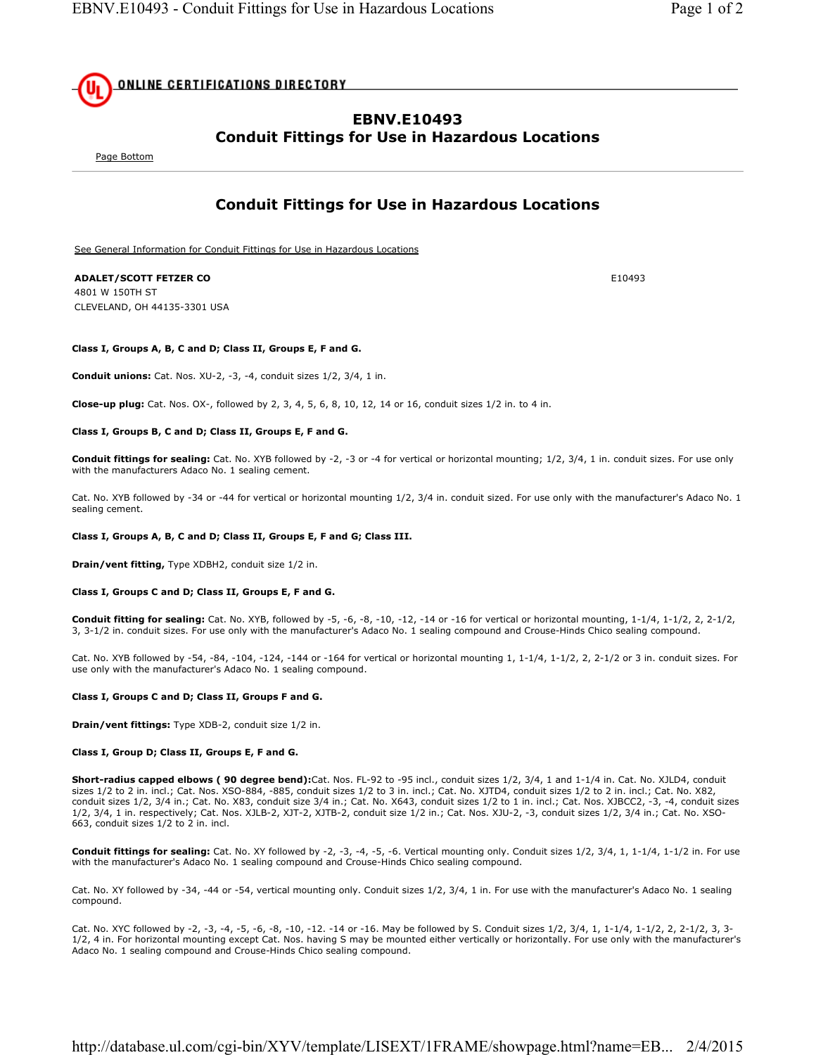<u>ONLINE CERTIFICATIONS DIRECTORY</u>

## **EBNV.E10493 Conduit Fittings for Use in Hazardous Locations**

Page Bottom

# **Conduit Fittings for Use in Hazardous Locations**

See General Information for Conduit Fittings for Use in Hazardous Locations

## **ADALET/SCOTT FETZER CO** E10493

4801 W 150TH ST CLEVELAND, OH 44135-3301 USA

### **Class I, Groups A, B, C and D; Class II, Groups E, F and G.**

**Conduit unions:** Cat. Nos. XU-2, -3, -4, conduit sizes 1/2, 3/4, 1 in.

**Close-up plug:** Cat. Nos. OX-, followed by 2, 3, 4, 5, 6, 8, 10, 12, 14 or 16, conduit sizes 1/2 in. to 4 in.

#### **Class I, Groups B, C and D; Class II, Groups E, F and G.**

**Conduit fittings for sealing:** Cat. No. XYB followed by -2, -3 or -4 for vertical or horizontal mounting; 1/2, 3/4, 1 in. conduit sizes. For use only with the manufacturers Adaco No. 1 sealing cement.

Cat. No. XYB followed by -34 or -44 for vertical or horizontal mounting 1/2, 3/4 in. conduit sized. For use only with the manufacturer's Adaco No. 1 sealing cement.

### **Class I, Groups A, B, C and D; Class II, Groups E, F and G; Class III.**

**Drain/vent fitting,** Type XDBH2, conduit size 1/2 in.

#### **Class I, Groups C and D; Class II, Groups E, F and G.**

**Conduit fitting for sealing:** Cat. No. XYB, followed by -5, -6, -8, -10, -12, -14 or -16 for vertical or horizontal mounting, 1-1/4, 1-1/2, 2, 2-1/2, 3, 3-1/2 in. conduit sizes. For use only with the manufacturer's Adaco No. 1 sealing compound and Crouse-Hinds Chico sealing compound.

Cat. No. XYB followed by -54, -84, -104, -124, -144 or -164 for vertical or horizontal mounting 1, 1-1/4, 1-1/2, 2, 2-1/2 or 3 in. conduit sizes. For use only with the manufacturer's Adaco No. 1 sealing compound.

### **Class I, Groups C and D; Class II, Groups F and G.**

**Drain/vent fittings:** Type XDB-2, conduit size 1/2 in.

#### **Class I, Group D; Class II, Groups E, F and G.**

**Short-radius capped elbows ( 90 degree bend):**Cat. Nos. FL-92 to -95 incl., conduit sizes 1/2, 3/4, 1 and 1-1/4 in. Cat. No. XJLD4, conduit sizes 1/2 to 2 in. incl.; Cat. Nos. XSO-884, -885, conduit sizes 1/2 to 3 in. incl.; Cat. No. XJTD4, conduit sizes 1/2 to 2 in. incl.; Cat. No. X82, conduit sizes 1/2, 3/4 in.; Cat. No. X83, conduit size 3/4 in.; Cat. No. X643, conduit sizes 1/2 to 1 in. incl.; Cat. Nos. XJBCC2, -3, -4, conduit sizes 1/2, 3/4, 1 in. respectively; Cat. Nos. XJLB-2, XJT-2, XJTB-2, conduit size 1/2 in.; Cat. Nos. XJU-2, -3, conduit sizes 1/2, 3/4 in.; Cat. No. XSO-663, conduit sizes 1/2 to 2 in. incl.

**Conduit fittings for sealing:** Cat. No. XY followed by -2, -3, -4, -5, -6. Vertical mounting only. Conduit sizes 1/2, 3/4, 1, 1-1/4, 1-1/2 in. For use with the manufacturer's Adaco No. 1 sealing compound and Crouse-Hinds Chico sealing compound.

Cat. No. XY followed by -34, -44 or -54, vertical mounting only. Conduit sizes 1/2, 3/4, 1 in. For use with the manufacturer's Adaco No. 1 sealing compound.

Cat. No. XYC followed by -2, -3, -4, -5, -6, -8, -10, -12. -14 or -16. May be followed by S. Conduit sizes 1/2, 3/4, 1, 1-1/4, 1-1/2, 2, 2-1/2, 3, 3- 1/2, 4 in. For horizontal mounting except Cat. Nos. having S may be mounted either vertically or horizontally. For use only with the manufacturer's Adaco No. 1 sealing compound and Crouse-Hinds Chico sealing compound.